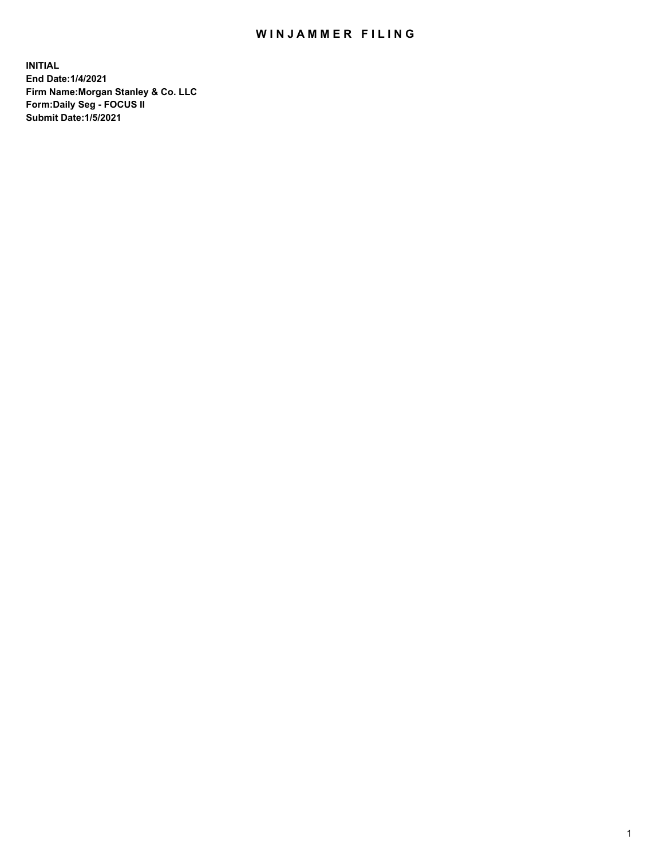## WIN JAMMER FILING

**INITIAL End Date:1/4/2021 Firm Name:Morgan Stanley & Co. LLC Form:Daily Seg - FOCUS II Submit Date:1/5/2021**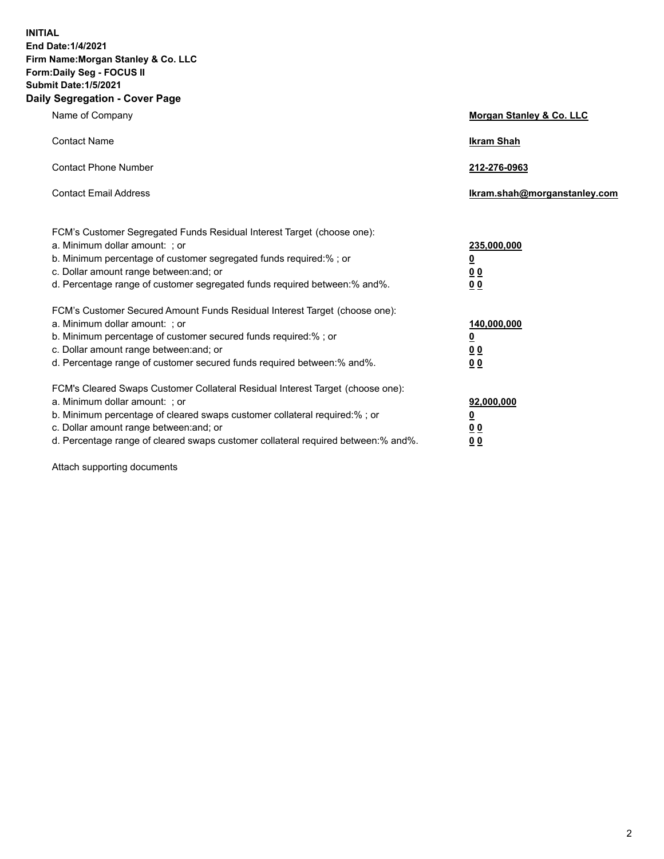**INITIAL End Date:1/4/2021 Firm Name:Morgan Stanley & Co. LLC Form:Daily Seg - FOCUS II Submit Date:1/5/2021 Daily Segregation - Cover Page**

| Name of Company                                                                                                                                                                                                                                                                                                                | <b>Morgan Stanley &amp; Co. LLC</b>                        |
|--------------------------------------------------------------------------------------------------------------------------------------------------------------------------------------------------------------------------------------------------------------------------------------------------------------------------------|------------------------------------------------------------|
| <b>Contact Name</b>                                                                                                                                                                                                                                                                                                            | <b>Ikram Shah</b>                                          |
| <b>Contact Phone Number</b>                                                                                                                                                                                                                                                                                                    | 212-276-0963                                               |
| <b>Contact Email Address</b>                                                                                                                                                                                                                                                                                                   | Ikram.shah@morganstanley.com                               |
| FCM's Customer Segregated Funds Residual Interest Target (choose one):<br>a. Minimum dollar amount: ; or<br>b. Minimum percentage of customer segregated funds required:% ; or<br>c. Dollar amount range between: and; or<br>d. Percentage range of customer segregated funds required between: % and %.                       | 235,000,000<br><u>0</u><br><u>00</u><br>0 <sup>0</sup>     |
| FCM's Customer Secured Amount Funds Residual Interest Target (choose one):<br>a. Minimum dollar amount: ; or<br>b. Minimum percentage of customer secured funds required:%; or<br>c. Dollar amount range between: and; or<br>d. Percentage range of customer secured funds required between: % and %.                          | 140,000,000<br><u>0</u><br><u>00</u><br>0 <sup>0</sup>     |
| FCM's Cleared Swaps Customer Collateral Residual Interest Target (choose one):<br>a. Minimum dollar amount: ; or<br>b. Minimum percentage of cleared swaps customer collateral required:% ; or<br>c. Dollar amount range between: and; or<br>d. Percentage range of cleared swaps customer collateral required between:% and%. | 92,000,000<br><u>0</u><br>0 <sup>0</sup><br>0 <sub>0</sub> |

Attach supporting documents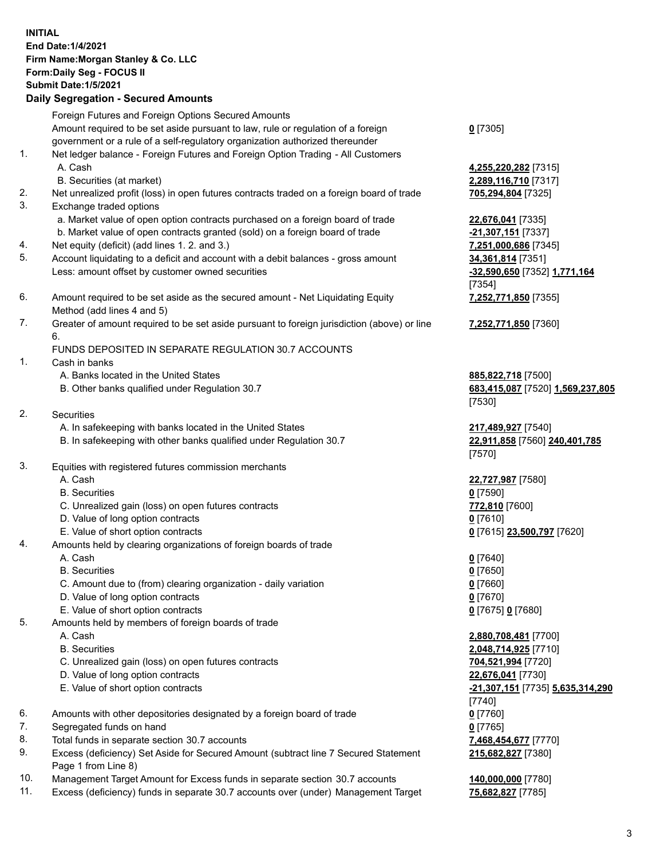|    | <b>INITIAL</b><br>End Date: 1/4/2021<br>Firm Name: Morgan Stanley & Co. LLC<br>Form: Daily Seg - FOCUS II<br><b>Submit Date: 1/5/2021</b><br><b>Daily Segregation - Secured Amounts</b> |                      |
|----|-----------------------------------------------------------------------------------------------------------------------------------------------------------------------------------------|----------------------|
|    | Foreign Futures and Foreign Options Secured Amounts                                                                                                                                     |                      |
|    | Amount required to be set aside pursuant to law, rule or regulation of a foreign                                                                                                        | $0$ [7305]           |
|    | government or a rule of a self-regulatory organization authorized thereunder                                                                                                            |                      |
| 1. | Net ledger balance - Foreign Futures and Foreign Option Trading - All Customers                                                                                                         |                      |
|    | A. Cash                                                                                                                                                                                 | 4,255,22             |
|    | B. Securities (at market)                                                                                                                                                               | 2,289,11             |
| 2. | Net unrealized profit (loss) in open futures contracts traded on a foreign board of trade                                                                                               | 705,294              |
| 3. | Exchange traded options                                                                                                                                                                 |                      |
|    | a. Market value of open option contracts purchased on a foreign board of trade                                                                                                          | 22,676,0             |
| 4. | b. Market value of open contracts granted (sold) on a foreign board of trade<br>Net equity (deficit) (add lines 1.2. and 3.)                                                            | $-21,307,$           |
| 5. | Account liquidating to a deficit and account with a debit balances - gross amount                                                                                                       | 7,251,00<br>34,361,8 |
|    | Less: amount offset by customer owned securities                                                                                                                                        | $-32,590,$           |
|    |                                                                                                                                                                                         | $[7354]$             |
| 6. | Amount required to be set aside as the secured amount - Net Liquidating Equity                                                                                                          | 7,252,77             |
|    | Method (add lines 4 and 5)                                                                                                                                                              |                      |
| 7. | Greater of amount required to be set aside pursuant to foreign jurisdiction (above) or line                                                                                             | 7,252,77             |
|    | 6.                                                                                                                                                                                      |                      |
|    | FUNDS DEPOSITED IN SEPARATE REGULATION 30.7 ACCOUNTS                                                                                                                                    |                      |
| 1. | Cash in banks                                                                                                                                                                           |                      |
|    | A. Banks located in the United States                                                                                                                                                   | 885,822              |
|    | B. Other banks qualified under Regulation 30.7                                                                                                                                          | 683,415              |
|    |                                                                                                                                                                                         | $[7530]$             |
| 2. | <b>Securities</b>                                                                                                                                                                       |                      |
|    | A. In safekeeping with banks located in the United States<br>B. In safekeeping with other banks qualified under Regulation 30.7                                                         | 217,489<br>22,911,8  |
|    |                                                                                                                                                                                         | $[7570]$             |
| 3. | Equities with registered futures commission merchants                                                                                                                                   |                      |
|    | A. Cash                                                                                                                                                                                 | 22,727,9             |
|    | <b>B.</b> Securities                                                                                                                                                                    | $0$ [7590]           |
|    | C. Unrealized gain (loss) on open futures contracts                                                                                                                                     | 772,810              |
|    | D. Value of long option contracts                                                                                                                                                       | 0 [7610]             |
|    | E. Value of short option contracts                                                                                                                                                      | $0$ [7615]           |
| 4. | Amounts held by clearing organizations of foreign boards of trade                                                                                                                       |                      |
|    | A. Cash                                                                                                                                                                                 | $0$ [7640]           |
|    | <b>B.</b> Securities                                                                                                                                                                    | $0$ [7650]           |
|    | C. Amount due to (from) clearing organization - daily variation                                                                                                                         | $0$ [7660]           |
|    | D. Value of long option contracts                                                                                                                                                       | $0$ [7670]           |
|    | E. Value of short option contracts                                                                                                                                                      | $0$ [7675]           |
| 5. | Amounts held by members of foreign boards of trade<br>A. Cash                                                                                                                           |                      |
|    | <b>B.</b> Securities                                                                                                                                                                    | 2,880,70<br>2,048,71 |
|    | C. Unrealized gain (loss) on open futures contracts                                                                                                                                     | 704,521              |
|    | D. Value of long option contracts                                                                                                                                                       | 22,676,0             |
|    | E. Value of short option contracts                                                                                                                                                      | $-21,307,$           |
|    |                                                                                                                                                                                         | $[7740]$             |
| 6. | Amounts with other depositories designated by a foreign board of trade                                                                                                                  | $0$ [7760]           |
| 7. | Segregated funds on hand                                                                                                                                                                | $0$ [7765]           |

- 8. Total funds in separate section 30.7 accounts **7,468,454,677** [7770]
- 9. Excess (deficiency) Set Aside for Secured Amount (subtract line 7 Secured Statement Page 1 from Line 8)
- 10. Management Target Amount for Excess funds in separate section 30.7 accounts **140,000,000** [7780]
- 11. Excess (deficiency) funds in separate 30.7 accounts over (under) Management Target **75,682,827** [7785]

 A. Cash **4,255,220,282** [7315] **89,116,710** [7317] 294,804 [7325]

a. Market **676,041** [7335] **307,151** [7337] 51,000,686 [7345] **361,814** [7351] Less: amount offset by customer owned securities **-32,590,650** [7352] **1,771,164** 54] **7,252,771,850** [7355]

**7,252,771,850** [7360]

A. 822,718 [7500] B. Other banks qualified under Regulation 30.7 **683,415,087** [7520] **1,569,237,805** [7530]

**A89,927** [7540] B. In safekeeping with other banks qualified under Regulation 30.7 **22,911,858** [7560] **240,401,785** [7570]

 A. Cash **22,727,987** [7580] 0. <mark>810</mark> [7600] E. Value of short option contracts **0** [7615] **23,500,797** [7620]

E. Value of short option contracts **0** [7675] **0** [7680]

 A. Cash **2,880,708,481** [7700] B. Securities **2,048,714,925** [7710] C. 521,994 [7720] **676,041** [7730] E. Value of short option contracts **-21,307,151** [7735] **5,635,314,290** 40] **215,682,827** [7380]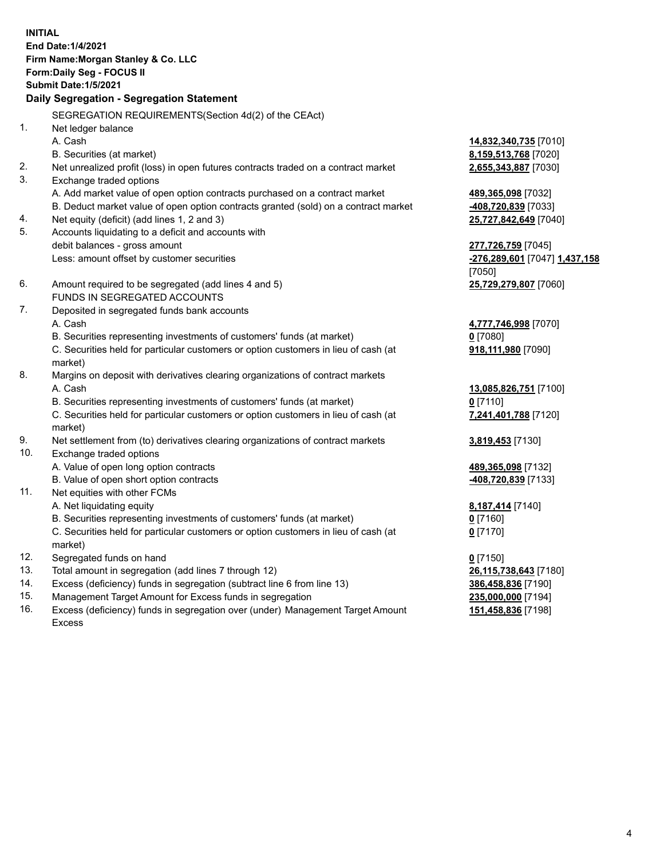| SEGREGATION REQUIREMENTS(Section 4d(2) of the CEAct)<br>1.<br>Net ledger balance<br>A. Cash<br>14,832,340,735 [7010]<br>B. Securities (at market)<br>8,159,513,768 [7020]<br>2.<br>Net unrealized profit (loss) in open futures contracts traded on a contract market<br>2,655,343,887 [7030]<br>3.<br>Exchange traded options<br>A. Add market value of open option contracts purchased on a contract market<br>489,365,098 [7032]<br>B. Deduct market value of open option contracts granted (sold) on a contract market<br>408,720,839 [7033]<br>Net equity (deficit) (add lines 1, 2 and 3)<br>4.<br>25,727,842,649 [7040]<br>5.<br>Accounts liquidating to a deficit and accounts with<br>debit balances - gross amount<br>277,726,759 [7045]<br>Less: amount offset by customer securities<br>-276,289,601 [7047] 1,437,158<br>[7050]<br>6.<br>Amount required to be segregated (add lines 4 and 5)<br>25,729,279,807 [7060]<br>FUNDS IN SEGREGATED ACCOUNTS<br>7.<br>Deposited in segregated funds bank accounts<br>A. Cash<br>4,777,746,998 [7070]<br>B. Securities representing investments of customers' funds (at market)<br>$0$ [7080]<br>C. Securities held for particular customers or option customers in lieu of cash (at<br>918,111,980 [7090]<br>market)<br>8.<br>Margins on deposit with derivatives clearing organizations of contract markets<br>A. Cash<br>13,085,826,751 [7100]<br>B. Securities representing investments of customers' funds (at market)<br>$0$ [7110]<br>C. Securities held for particular customers or option customers in lieu of cash (at<br>7,241,401,788 [7120]<br>market)<br>9.<br>Net settlement from (to) derivatives clearing organizations of contract markets<br>3,819,453 [7130]<br>10.<br>Exchange traded options<br>A. Value of open long option contracts<br>489,365,098 [7132]<br>B. Value of open short option contracts<br>408,720,839 [7133]<br>11.<br>Net equities with other FCMs<br>A. Net liquidating equity<br>8,187,414 [7140]<br>B. Securities representing investments of customers' funds (at market)<br>$0$ [7160]<br>C. Securities held for particular customers or option customers in lieu of cash (at<br>$0$ [7170]<br>market)<br>12.<br>Segregated funds on hand<br>$0$ [7150]<br>13.<br>Total amount in segregation (add lines 7 through 12)<br>26,115,738,643 [7180]<br>14.<br>Excess (deficiency) funds in segregation (subtract line 6 from line 13)<br>386,458,836 [7190] | <b>INITIAL</b> | <b>End Date:1/4/2021</b><br>Firm Name: Morgan Stanley & Co. LLC<br>Form: Daily Seg - FOCUS II<br><b>Submit Date: 1/5/2021</b><br>Daily Segregation - Segregation Statement |  |
|-----------------------------------------------------------------------------------------------------------------------------------------------------------------------------------------------------------------------------------------------------------------------------------------------------------------------------------------------------------------------------------------------------------------------------------------------------------------------------------------------------------------------------------------------------------------------------------------------------------------------------------------------------------------------------------------------------------------------------------------------------------------------------------------------------------------------------------------------------------------------------------------------------------------------------------------------------------------------------------------------------------------------------------------------------------------------------------------------------------------------------------------------------------------------------------------------------------------------------------------------------------------------------------------------------------------------------------------------------------------------------------------------------------------------------------------------------------------------------------------------------------------------------------------------------------------------------------------------------------------------------------------------------------------------------------------------------------------------------------------------------------------------------------------------------------------------------------------------------------------------------------------------------------------------------------------------------------------------------------------------------------------------------------------------------------------------------------------------------------------------------------------------------------------------------------------------------------------------------------------------------------------------------------------------------------------------------------------------------------------------------------------------------------------------------------------------------------|----------------|----------------------------------------------------------------------------------------------------------------------------------------------------------------------------|--|
|                                                                                                                                                                                                                                                                                                                                                                                                                                                                                                                                                                                                                                                                                                                                                                                                                                                                                                                                                                                                                                                                                                                                                                                                                                                                                                                                                                                                                                                                                                                                                                                                                                                                                                                                                                                                                                                                                                                                                                                                                                                                                                                                                                                                                                                                                                                                                                                                                                                           |                |                                                                                                                                                                            |  |
|                                                                                                                                                                                                                                                                                                                                                                                                                                                                                                                                                                                                                                                                                                                                                                                                                                                                                                                                                                                                                                                                                                                                                                                                                                                                                                                                                                                                                                                                                                                                                                                                                                                                                                                                                                                                                                                                                                                                                                                                                                                                                                                                                                                                                                                                                                                                                                                                                                                           |                |                                                                                                                                                                            |  |
|                                                                                                                                                                                                                                                                                                                                                                                                                                                                                                                                                                                                                                                                                                                                                                                                                                                                                                                                                                                                                                                                                                                                                                                                                                                                                                                                                                                                                                                                                                                                                                                                                                                                                                                                                                                                                                                                                                                                                                                                                                                                                                                                                                                                                                                                                                                                                                                                                                                           |                |                                                                                                                                                                            |  |
|                                                                                                                                                                                                                                                                                                                                                                                                                                                                                                                                                                                                                                                                                                                                                                                                                                                                                                                                                                                                                                                                                                                                                                                                                                                                                                                                                                                                                                                                                                                                                                                                                                                                                                                                                                                                                                                                                                                                                                                                                                                                                                                                                                                                                                                                                                                                                                                                                                                           |                |                                                                                                                                                                            |  |
|                                                                                                                                                                                                                                                                                                                                                                                                                                                                                                                                                                                                                                                                                                                                                                                                                                                                                                                                                                                                                                                                                                                                                                                                                                                                                                                                                                                                                                                                                                                                                                                                                                                                                                                                                                                                                                                                                                                                                                                                                                                                                                                                                                                                                                                                                                                                                                                                                                                           |                |                                                                                                                                                                            |  |
|                                                                                                                                                                                                                                                                                                                                                                                                                                                                                                                                                                                                                                                                                                                                                                                                                                                                                                                                                                                                                                                                                                                                                                                                                                                                                                                                                                                                                                                                                                                                                                                                                                                                                                                                                                                                                                                                                                                                                                                                                                                                                                                                                                                                                                                                                                                                                                                                                                                           |                |                                                                                                                                                                            |  |
|                                                                                                                                                                                                                                                                                                                                                                                                                                                                                                                                                                                                                                                                                                                                                                                                                                                                                                                                                                                                                                                                                                                                                                                                                                                                                                                                                                                                                                                                                                                                                                                                                                                                                                                                                                                                                                                                                                                                                                                                                                                                                                                                                                                                                                                                                                                                                                                                                                                           |                |                                                                                                                                                                            |  |
|                                                                                                                                                                                                                                                                                                                                                                                                                                                                                                                                                                                                                                                                                                                                                                                                                                                                                                                                                                                                                                                                                                                                                                                                                                                                                                                                                                                                                                                                                                                                                                                                                                                                                                                                                                                                                                                                                                                                                                                                                                                                                                                                                                                                                                                                                                                                                                                                                                                           |                |                                                                                                                                                                            |  |
|                                                                                                                                                                                                                                                                                                                                                                                                                                                                                                                                                                                                                                                                                                                                                                                                                                                                                                                                                                                                                                                                                                                                                                                                                                                                                                                                                                                                                                                                                                                                                                                                                                                                                                                                                                                                                                                                                                                                                                                                                                                                                                                                                                                                                                                                                                                                                                                                                                                           |                |                                                                                                                                                                            |  |
|                                                                                                                                                                                                                                                                                                                                                                                                                                                                                                                                                                                                                                                                                                                                                                                                                                                                                                                                                                                                                                                                                                                                                                                                                                                                                                                                                                                                                                                                                                                                                                                                                                                                                                                                                                                                                                                                                                                                                                                                                                                                                                                                                                                                                                                                                                                                                                                                                                                           |                |                                                                                                                                                                            |  |
|                                                                                                                                                                                                                                                                                                                                                                                                                                                                                                                                                                                                                                                                                                                                                                                                                                                                                                                                                                                                                                                                                                                                                                                                                                                                                                                                                                                                                                                                                                                                                                                                                                                                                                                                                                                                                                                                                                                                                                                                                                                                                                                                                                                                                                                                                                                                                                                                                                                           |                |                                                                                                                                                                            |  |
|                                                                                                                                                                                                                                                                                                                                                                                                                                                                                                                                                                                                                                                                                                                                                                                                                                                                                                                                                                                                                                                                                                                                                                                                                                                                                                                                                                                                                                                                                                                                                                                                                                                                                                                                                                                                                                                                                                                                                                                                                                                                                                                                                                                                                                                                                                                                                                                                                                                           |                |                                                                                                                                                                            |  |
|                                                                                                                                                                                                                                                                                                                                                                                                                                                                                                                                                                                                                                                                                                                                                                                                                                                                                                                                                                                                                                                                                                                                                                                                                                                                                                                                                                                                                                                                                                                                                                                                                                                                                                                                                                                                                                                                                                                                                                                                                                                                                                                                                                                                                                                                                                                                                                                                                                                           |                |                                                                                                                                                                            |  |
|                                                                                                                                                                                                                                                                                                                                                                                                                                                                                                                                                                                                                                                                                                                                                                                                                                                                                                                                                                                                                                                                                                                                                                                                                                                                                                                                                                                                                                                                                                                                                                                                                                                                                                                                                                                                                                                                                                                                                                                                                                                                                                                                                                                                                                                                                                                                                                                                                                                           |                |                                                                                                                                                                            |  |
|                                                                                                                                                                                                                                                                                                                                                                                                                                                                                                                                                                                                                                                                                                                                                                                                                                                                                                                                                                                                                                                                                                                                                                                                                                                                                                                                                                                                                                                                                                                                                                                                                                                                                                                                                                                                                                                                                                                                                                                                                                                                                                                                                                                                                                                                                                                                                                                                                                                           |                |                                                                                                                                                                            |  |
|                                                                                                                                                                                                                                                                                                                                                                                                                                                                                                                                                                                                                                                                                                                                                                                                                                                                                                                                                                                                                                                                                                                                                                                                                                                                                                                                                                                                                                                                                                                                                                                                                                                                                                                                                                                                                                                                                                                                                                                                                                                                                                                                                                                                                                                                                                                                                                                                                                                           |                |                                                                                                                                                                            |  |
|                                                                                                                                                                                                                                                                                                                                                                                                                                                                                                                                                                                                                                                                                                                                                                                                                                                                                                                                                                                                                                                                                                                                                                                                                                                                                                                                                                                                                                                                                                                                                                                                                                                                                                                                                                                                                                                                                                                                                                                                                                                                                                                                                                                                                                                                                                                                                                                                                                                           |                |                                                                                                                                                                            |  |
|                                                                                                                                                                                                                                                                                                                                                                                                                                                                                                                                                                                                                                                                                                                                                                                                                                                                                                                                                                                                                                                                                                                                                                                                                                                                                                                                                                                                                                                                                                                                                                                                                                                                                                                                                                                                                                                                                                                                                                                                                                                                                                                                                                                                                                                                                                                                                                                                                                                           |                |                                                                                                                                                                            |  |
|                                                                                                                                                                                                                                                                                                                                                                                                                                                                                                                                                                                                                                                                                                                                                                                                                                                                                                                                                                                                                                                                                                                                                                                                                                                                                                                                                                                                                                                                                                                                                                                                                                                                                                                                                                                                                                                                                                                                                                                                                                                                                                                                                                                                                                                                                                                                                                                                                                                           |                |                                                                                                                                                                            |  |
|                                                                                                                                                                                                                                                                                                                                                                                                                                                                                                                                                                                                                                                                                                                                                                                                                                                                                                                                                                                                                                                                                                                                                                                                                                                                                                                                                                                                                                                                                                                                                                                                                                                                                                                                                                                                                                                                                                                                                                                                                                                                                                                                                                                                                                                                                                                                                                                                                                                           |                |                                                                                                                                                                            |  |
|                                                                                                                                                                                                                                                                                                                                                                                                                                                                                                                                                                                                                                                                                                                                                                                                                                                                                                                                                                                                                                                                                                                                                                                                                                                                                                                                                                                                                                                                                                                                                                                                                                                                                                                                                                                                                                                                                                                                                                                                                                                                                                                                                                                                                                                                                                                                                                                                                                                           |                |                                                                                                                                                                            |  |
|                                                                                                                                                                                                                                                                                                                                                                                                                                                                                                                                                                                                                                                                                                                                                                                                                                                                                                                                                                                                                                                                                                                                                                                                                                                                                                                                                                                                                                                                                                                                                                                                                                                                                                                                                                                                                                                                                                                                                                                                                                                                                                                                                                                                                                                                                                                                                                                                                                                           |                |                                                                                                                                                                            |  |
|                                                                                                                                                                                                                                                                                                                                                                                                                                                                                                                                                                                                                                                                                                                                                                                                                                                                                                                                                                                                                                                                                                                                                                                                                                                                                                                                                                                                                                                                                                                                                                                                                                                                                                                                                                                                                                                                                                                                                                                                                                                                                                                                                                                                                                                                                                                                                                                                                                                           |                |                                                                                                                                                                            |  |
|                                                                                                                                                                                                                                                                                                                                                                                                                                                                                                                                                                                                                                                                                                                                                                                                                                                                                                                                                                                                                                                                                                                                                                                                                                                                                                                                                                                                                                                                                                                                                                                                                                                                                                                                                                                                                                                                                                                                                                                                                                                                                                                                                                                                                                                                                                                                                                                                                                                           |                |                                                                                                                                                                            |  |
|                                                                                                                                                                                                                                                                                                                                                                                                                                                                                                                                                                                                                                                                                                                                                                                                                                                                                                                                                                                                                                                                                                                                                                                                                                                                                                                                                                                                                                                                                                                                                                                                                                                                                                                                                                                                                                                                                                                                                                                                                                                                                                                                                                                                                                                                                                                                                                                                                                                           |                |                                                                                                                                                                            |  |
|                                                                                                                                                                                                                                                                                                                                                                                                                                                                                                                                                                                                                                                                                                                                                                                                                                                                                                                                                                                                                                                                                                                                                                                                                                                                                                                                                                                                                                                                                                                                                                                                                                                                                                                                                                                                                                                                                                                                                                                                                                                                                                                                                                                                                                                                                                                                                                                                                                                           |                |                                                                                                                                                                            |  |
|                                                                                                                                                                                                                                                                                                                                                                                                                                                                                                                                                                                                                                                                                                                                                                                                                                                                                                                                                                                                                                                                                                                                                                                                                                                                                                                                                                                                                                                                                                                                                                                                                                                                                                                                                                                                                                                                                                                                                                                                                                                                                                                                                                                                                                                                                                                                                                                                                                                           |                |                                                                                                                                                                            |  |
|                                                                                                                                                                                                                                                                                                                                                                                                                                                                                                                                                                                                                                                                                                                                                                                                                                                                                                                                                                                                                                                                                                                                                                                                                                                                                                                                                                                                                                                                                                                                                                                                                                                                                                                                                                                                                                                                                                                                                                                                                                                                                                                                                                                                                                                                                                                                                                                                                                                           |                |                                                                                                                                                                            |  |
|                                                                                                                                                                                                                                                                                                                                                                                                                                                                                                                                                                                                                                                                                                                                                                                                                                                                                                                                                                                                                                                                                                                                                                                                                                                                                                                                                                                                                                                                                                                                                                                                                                                                                                                                                                                                                                                                                                                                                                                                                                                                                                                                                                                                                                                                                                                                                                                                                                                           |                |                                                                                                                                                                            |  |
|                                                                                                                                                                                                                                                                                                                                                                                                                                                                                                                                                                                                                                                                                                                                                                                                                                                                                                                                                                                                                                                                                                                                                                                                                                                                                                                                                                                                                                                                                                                                                                                                                                                                                                                                                                                                                                                                                                                                                                                                                                                                                                                                                                                                                                                                                                                                                                                                                                                           |                |                                                                                                                                                                            |  |
|                                                                                                                                                                                                                                                                                                                                                                                                                                                                                                                                                                                                                                                                                                                                                                                                                                                                                                                                                                                                                                                                                                                                                                                                                                                                                                                                                                                                                                                                                                                                                                                                                                                                                                                                                                                                                                                                                                                                                                                                                                                                                                                                                                                                                                                                                                                                                                                                                                                           |                |                                                                                                                                                                            |  |
|                                                                                                                                                                                                                                                                                                                                                                                                                                                                                                                                                                                                                                                                                                                                                                                                                                                                                                                                                                                                                                                                                                                                                                                                                                                                                                                                                                                                                                                                                                                                                                                                                                                                                                                                                                                                                                                                                                                                                                                                                                                                                                                                                                                                                                                                                                                                                                                                                                                           |                |                                                                                                                                                                            |  |
|                                                                                                                                                                                                                                                                                                                                                                                                                                                                                                                                                                                                                                                                                                                                                                                                                                                                                                                                                                                                                                                                                                                                                                                                                                                                                                                                                                                                                                                                                                                                                                                                                                                                                                                                                                                                                                                                                                                                                                                                                                                                                                                                                                                                                                                                                                                                                                                                                                                           |                |                                                                                                                                                                            |  |
|                                                                                                                                                                                                                                                                                                                                                                                                                                                                                                                                                                                                                                                                                                                                                                                                                                                                                                                                                                                                                                                                                                                                                                                                                                                                                                                                                                                                                                                                                                                                                                                                                                                                                                                                                                                                                                                                                                                                                                                                                                                                                                                                                                                                                                                                                                                                                                                                                                                           |                |                                                                                                                                                                            |  |

- 
- 15. Management Target Amount for Excess funds in segregation<br>16. Excess (deficiency) funds in segregation over (under) Management Target Amount 151,458,836 [7198] Excess (deficiency) funds in segregation over (under) Management Target Amount Excess

**151,458,836** [7198]